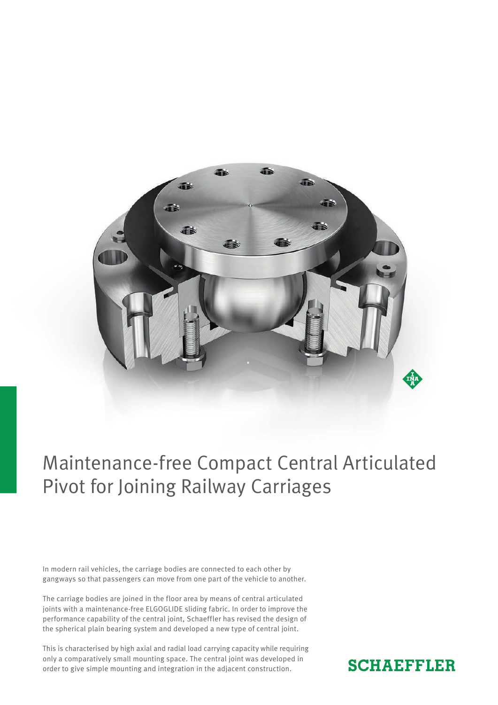

## Maintenance-free Compact Central Articulated Pivot for Joining Railway Carriages

In modern rail vehicles, the carriage bodies are connected to each other by gangways so that passengers can move from one part of the vehicle to another.

The carriage bodies are joined in the floor area by means of central articulated joints with a maintenance-free ELGOGLIDE sliding fabric. In order to improve the performance capability of the central joint, Schaeffler has revised the design of the spherical plain bearing system and developed a new type of central joint.

This is characterised by high axial and radial load carrying capacity while requiring only a comparatively small mounting space. The central joint was developed in order to give simple mounting and integration in the adjacent construction.

### **SCHAEFFLER**